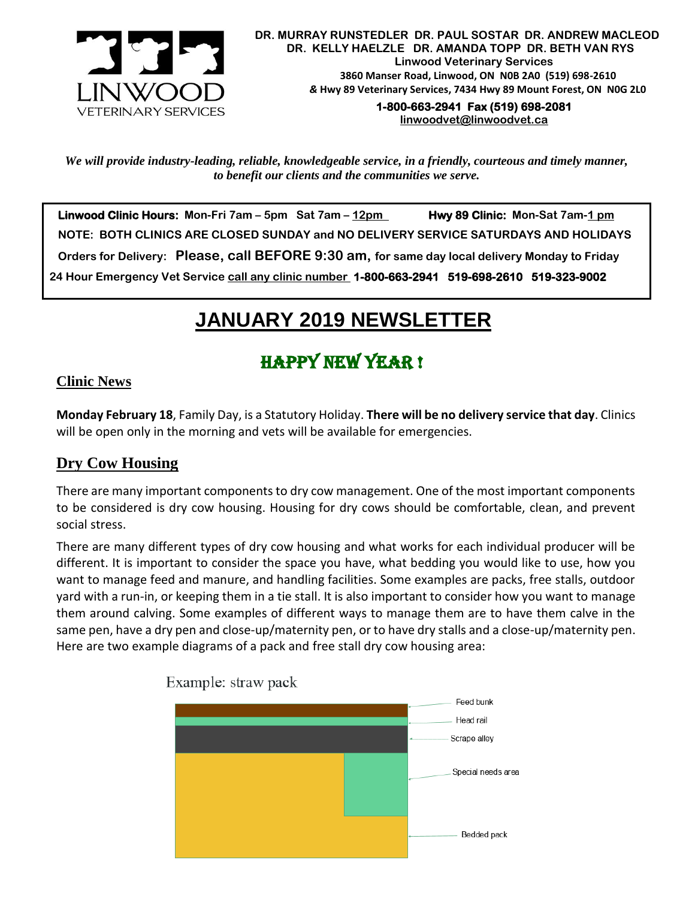

**1-800-663-2941 Fax (519) 698-2081 [linwoodvet@linwoodvet.ca](mailto:linwoodvet@linwoodvet.ca)**

*We will provide industry-leading, reliable, knowledgeable service, in a friendly, courteous and timely manner, to benefit our clients and the communities we serve.*

 **Linwood Clinic Hours: Mon-Fri 7am – 5pm Sat 7am – 12pm Hwy 89 Clinic: Mon-Sat 7am-1 pm NOTE: BOTH CLINICS ARE CLOSED SUNDAY and NO DELIVERY SERVICE SATURDAYS AND HOLIDAYS Orders for Delivery: Please, call BEFORE 9:30 am, for same day local delivery Monday to Friday 24 Hour Emergency Vet Service call any clinic number 1-800-663-2941 519-698-2610 519-323-9002**

## *!* **JANUARY 2019 NEWSLETTER**

# Happy New Year !

#### **Clinic News**

**Monday February 18**, Family Day, is a Statutory Holiday. **There will be no delivery service that day**. Clinics will be open only in the morning and vets will be available for emergencies.

#### **Dry Cow Housing**

There are many important components to dry cow management. One of the most important components to be considered is dry cow housing. Housing for dry cows should be comfortable, clean, and prevent social stress.

There are many different types of dry cow housing and what works for each individual producer will be different. It is important to consider the space you have, what bedding you would like to use, how you want to manage feed and manure, and handling facilities. Some examples are packs, free stalls, outdoor yard with a run-in, or keeping them in a tie stall. It is also important to consider how you want to manage them around calving. Some examples of different ways to manage them are to have them calve in the same pen, have a dry pen and close-up/maternity pen, or to have dry stalls and a close-up/maternity pen. Here are two example diagrams of a pack and free stall dry cow housing area:



Example: straw pack